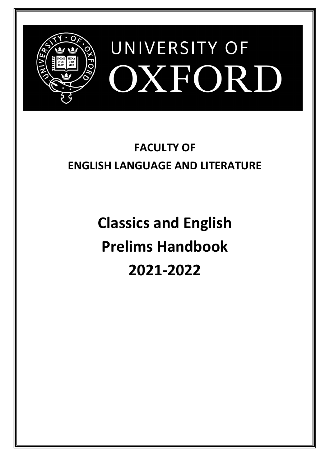

# **FACULTY OF ENGLISH LANGUAGE AND LITERATURE**

**Classics and English Prelims Handbook 2021-2022**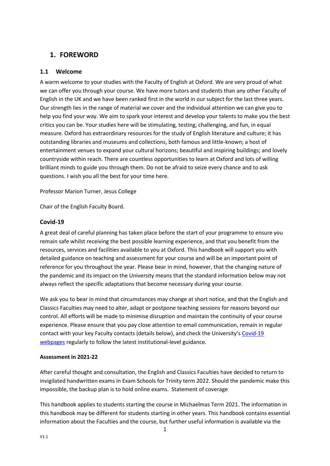# <span id="page-1-0"></span>**1. FOREWORD**

## <span id="page-1-1"></span>**1.1 Welcome**

A warm welcome to your studies with the Faculty of English at Oxford. We are very proud of what we can offer you through your course. We have more tutors and students than any other Faculty of English in the UK and we have been ranked first in the world in our subject for the last three years. Our strength lies in the range of material we cover and the individual attention we can give you to help you find your way. We aim to spark your interest and develop your talents to make you the best critics you can be. Your studies here will be stimulating, testing, challenging, and fun, in equal measure. Oxford has extraordinary resources for the study of English literature and culture; it has outstanding libraries and museums and collections, both famous and little-known; a host of entertainment venues to expand your cultural horizons; beautiful and inspiring buildings; and lovely countryside within reach. There are countless opportunities to learn at Oxford and lots of willing brilliant minds to guide you through them. Do not be afraid to seize every chance and to ask questions. I wish you all the best for your time here.

Professor Marion Turner, Jesus College

Chair of the English Faculty Board.

## <span id="page-1-2"></span>**Covid-19**

A great deal of careful planning has taken place before the start of your programme to ensure you remain safe whilst receiving the best possible learning experience, and that you benefit from the resources, services and facilities available to you at Oxford. This handbook will support you with detailed guidance on teaching and assessment for your course and will be an important point of reference for you throughout the year. Please bear in mind, however, that the changing nature of the pandemic and its impact on the University means that the standard information below may not always reflect the specific adaptations that become necessary during your course.

We ask you to bear in mind that circumstances may change at short notice, and that the English and Classics Faculties may need to alter, adapt or postpone teaching sessions for reasons beyond our control. All efforts will be made to minimise disruption and maintain the continuity of your course experience. Please ensure that you pay close attention to email communication, remain in regular contact with your key Faculty contacts (details below), and check the University's [Covid-19](https://www.ox.ac.uk/coronavirus/students)  [webpages](https://www.ox.ac.uk/coronavirus/students) regularly to follow the latest institutional-level guidance.

#### **Assessment in 2021-22**

After careful thought and consultation, the English and Classics Faculties have decided to return to invigilated handwritten exams in Exam Schools for Trinity term 2022. Should the pandemic make this impossible, the backup plan is to hold online exams. Statement of coverage

This handbook applies to students starting the course in Michaelmas Term 2021. The information in this handbook may be different for students starting in other years. This handbook contains essential information about the Faculties and the course, but further useful information is available via the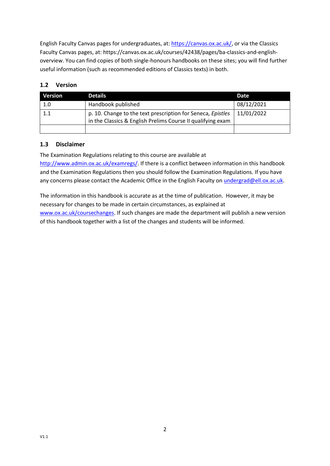English Faculty Canvas pages for undergraduates, at: [https://canvas.ox.ac.uk/,](https://canvas.ox.ac.uk/) or via the Classics Faculty Canvas pages, at: https://canvas.ox.ac.uk/courses/42438/pages/ba-classics-and-englishoverview. You can find copies of both single-honours handbooks on these sites; you will find further useful information (such as recommended editions of Classics texts) in both.

## <span id="page-2-0"></span>**1.2 Version**

| <b>Version</b> | <b>Details</b>                                                                                                             | Date       |
|----------------|----------------------------------------------------------------------------------------------------------------------------|------------|
| 1.0            | Handbook published                                                                                                         | 08/12/2021 |
| 1.1            | p. 10. Change to the text prescription for Seneca, Epistles<br>in the Classics & English Prelims Course II qualifying exam | 11/01/2022 |
|                |                                                                                                                            |            |

## <span id="page-2-1"></span>**1.3 Disclaimer**

The Examination Regulations relating to this course are available at [http://www.admin.ox.ac.uk/examregs/.](http://www.admin.ox.ac.uk/examregs/) If there is a conflict between information in this handbook and the Examination Regulations then you should follow the Examination Regulations. If you have any concerns please contact the Academic Office in the English Faculty on [undergrad@ell.ox.ac.uk.](mailto:undergrad@ell.ox.ac.uk)

The information in this handbook is accurate as at the time of publication. However, it may be necessary for changes to be made in certain circumstances, as explained at www.ox.ac.uk/coursechanges</u>. If such changes are made the department will publish a new version of this handbook together with a list of the changes and students will be informed.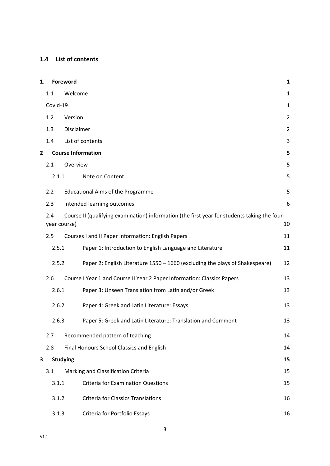## <span id="page-3-0"></span>**1.4 List of contents**

| 1.                                     |                     | Foreword<br>$\mathbf{1}$ |                                                                                              |                |  |
|----------------------------------------|---------------------|--------------------------|----------------------------------------------------------------------------------------------|----------------|--|
|                                        | 1.1                 | Welcome                  |                                                                                              |                |  |
|                                        | Covid-19            |                          |                                                                                              | $\mathbf{1}$   |  |
|                                        | 1.2                 | Version                  |                                                                                              | $\overline{2}$ |  |
|                                        | 1.3                 | Disclaimer               |                                                                                              | $\overline{2}$ |  |
|                                        | 1.4                 |                          | List of contents                                                                             | 3              |  |
| 2                                      |                     |                          | <b>Course Information</b>                                                                    | 5              |  |
|                                        | 2.1                 | Overview                 |                                                                                              | 5              |  |
|                                        | 2.1.1               |                          | Note on Content                                                                              | 5              |  |
|                                        | 2.2                 |                          | <b>Educational Aims of the Programme</b>                                                     | 5              |  |
|                                        | 2.3                 |                          | Intended learning outcomes                                                                   | 6              |  |
|                                        | 2.4<br>year course) |                          | Course II (qualifying examination) information (the first year for students taking the four- | 10             |  |
|                                        | 2.5                 |                          | Courses I and II Paper Information: English Papers                                           | 11             |  |
|                                        | 2.5.1               |                          | Paper 1: Introduction to English Language and Literature                                     | 11             |  |
|                                        | 2.5.2               |                          | Paper 2: English Literature 1550 - 1660 (excluding the plays of Shakespeare)                 | 12             |  |
|                                        | 2.6                 |                          | Course I Year 1 and Course II Year 2 Paper Information: Classics Papers                      | 13             |  |
|                                        | 2.6.1               |                          | Paper 3: Unseen Translation from Latin and/or Greek                                          | 13             |  |
|                                        | 2.6.2<br>2.6.3      |                          | Paper 4: Greek and Latin Literature: Essays                                                  | 13             |  |
|                                        |                     |                          | Paper 5: Greek and Latin Literature: Translation and Comment                                 | 13             |  |
| Recommended pattern of teaching<br>2.7 |                     |                          | 14                                                                                           |                |  |
|                                        | 2.8                 |                          | Final Honours School Classics and English                                                    | 14             |  |
| 3                                      |                     | <b>Studying</b>          |                                                                                              | 15             |  |
|                                        | 3.1                 |                          | Marking and Classification Criteria                                                          | 15             |  |
|                                        | 3.1.1               |                          | <b>Criteria for Examination Questions</b>                                                    | 15             |  |
|                                        | 3.1.2               |                          | <b>Criteria for Classics Translations</b>                                                    | 16             |  |
|                                        | 3.1.3               |                          | Criteria for Portfolio Essays                                                                | 16             |  |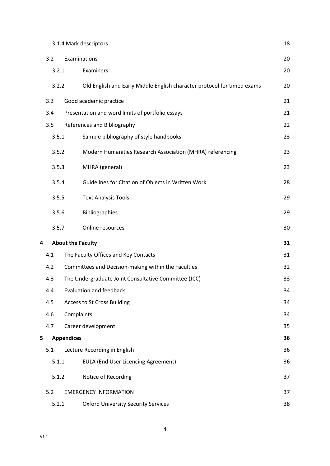|   |       | 3.1.4 Mark descriptors                                                  |    |  |
|---|-------|-------------------------------------------------------------------------|----|--|
|   | 3.2   | Examinations                                                            |    |  |
|   | 3.2.1 | Examiners                                                               | 20 |  |
|   | 3.2.2 | Old English and Early Middle English character protocol for timed exams | 20 |  |
|   | 3.3   | Good academic practice                                                  | 21 |  |
|   | 3.4   | Presentation and word limits of portfolio essays                        | 21 |  |
|   | 3.5   | References and Bibliography                                             | 22 |  |
|   | 3.5.1 | Sample bibliography of style handbooks                                  | 23 |  |
|   | 3.5.2 | Modern Humanities Research Association (MHRA) referencing               | 23 |  |
|   | 3.5.3 | MHRA (general)                                                          | 23 |  |
|   | 3.5.4 | Guidelines for Citation of Objects in Written Work                      | 28 |  |
|   | 3.5.5 | <b>Text Analysis Tools</b>                                              | 29 |  |
|   | 3.5.6 | <b>Bibliographies</b>                                                   | 29 |  |
|   | 3.5.7 | Online resources                                                        | 30 |  |
| 4 |       | <b>About the Faculty</b>                                                | 31 |  |
|   | 4.1   | The Faculty Offices and Key Contacts                                    | 31 |  |
|   | 4.2   | Committees and Decision-making within the Faculties                     | 32 |  |
|   | 4.3   | The Undergraduate Joint Consultative Committee (JCC)                    | 33 |  |
|   | 4.4   | <b>Evaluation and feedback</b>                                          | 34 |  |
|   | 4.5   | <b>Access to St Cross Building</b>                                      | 34 |  |
|   | 4.6   | Complaints                                                              | 34 |  |
|   | 4.7   | Career development                                                      | 35 |  |
| 5 |       | <b>Appendices</b>                                                       | 36 |  |
|   | 5.1   | Lecture Recording in English                                            | 36 |  |
|   | 5.1.1 | <b>EULA (End User Licencing Agreement)</b>                              | 36 |  |
|   | 5.1.2 | Notice of Recording                                                     | 37 |  |
|   | 5.2   | <b>EMERGENCY INFORMATION</b>                                            | 37 |  |
|   | 5.2.1 | <b>Oxford University Security Services</b>                              | 38 |  |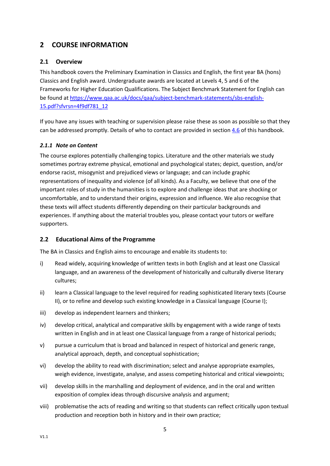# <span id="page-5-0"></span>**2 COURSE INFORMATION**

## <span id="page-5-1"></span>**2.1 Overview**

This handbook covers the Preliminary Examination in Classics and English, the first year BA (hons) Classics and English award. Undergraduate awards are located at Levels 4, 5 and 6 of the Frameworks for Higher Education Qualifications. The Subject Benchmark Statement for English can be found at [https://www.qaa.ac.uk/docs/qaa/subject-benchmark-statements/sbs-english-](https://www.qaa.ac.uk/docs/qaa/subject-benchmark-statements/sbs-english-15.pdf?sfvrsn=4f9df781_12)[15.pdf?sfvrsn=4f9df781\\_12](https://www.qaa.ac.uk/docs/qaa/subject-benchmark-statements/sbs-english-15.pdf?sfvrsn=4f9df781_12)

If you have any issues with teaching or supervision please raise these as soon as possible so that they can be addressed promptly. Details of who to contact are provided in sectio[n 4.6](#page-34-2) of this handbook.

## <span id="page-5-2"></span>*2.1.1 Note on Content*

The course explores potentially challenging topics. Literature and the other materials we study sometimes portray extreme physical, emotional and psychological states; depict, question, and/or endorse racist, misogynist and prejudiced views or language; and can include graphic representations of inequality and violence (of all kinds). As a Faculty, we believe that one of the important roles of study in the humanities is to explore and challenge ideas that are shocking or uncomfortable, and to understand their origins, expression and influence. We also recognise that these texts will affect students differently depending on their particular backgrounds and experiences. If anything about the material troubles you, please contact your tutors or welfare supporters.

## <span id="page-5-3"></span>**2.2 Educational Aims of the Programme**

The BA in Classics and English aims to encourage and enable its students to:

- i) Read widely, acquiring knowledge of written texts in both English and at least one Classical language, and an awareness of the development of historically and culturally diverse literary cultures;
- ii) learn a Classical language to the level required for reading sophisticated literary texts (Course II), or to refine and develop such existing knowledge in a Classical language (Course I);
- iii) develop as independent learners and thinkers;
- iv) develop critical, analytical and comparative skills by engagement with a wide range of texts written in English and in at least one Classical language from a range of historical periods;
- v) pursue a curriculum that is broad and balanced in respect of historical and generic range, analytical approach, depth, and conceptual sophistication;
- vi) develop the ability to read with discrimination; select and analyse appropriate examples, weigh evidence, investigate, analyse, and assess competing historical and critical viewpoints;
- vii) develop skills in the marshalling and deployment of evidence, and in the oral and written exposition of complex ideas through discursive analysis and argument;
- viii) problematise the acts of reading and writing so that students can reflect critically upon textual production and reception both in history and in their own practice;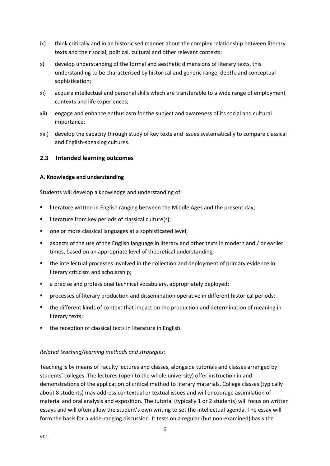- ix) think critically and in an historicised manner about the complex relationship between literary texts and their social, political, cultural and other relevant contexts;
- x) develop understanding of the formal and aesthetic dimensions of literary texts, this understanding to be characterised by historical and generic range, depth, and conceptual sophistication;
- xi) acquire intellectual and personal skills which are transferable to a wide range of employment contexts and life experiences;
- xii) engage and enhance enthusiasm for the subject and awareness of its social and cultural importance;
- xiii) develop the capacity through study of key texts and issues systematically to compare classical and English-speaking cultures.

## <span id="page-6-0"></span>**2.3 Intended learning outcomes**

#### **A. Knowledge and understanding**

Students will develop a knowledge and understanding of:

- literature written in English ranging between the Middle Ages and the present day;
- literature from key periods of classical culture(s);
- one or more classical languages at a sophisticated level;
- aspects of the use of the English language in literary and other texts in modern and / or earlier times, based on an appropriate level of theoretical understanding;
- the intellectual processes involved in the collection and deployment of primary evidence in literary criticism and scholarship;
- a precise and professional technical vocabulary, appropriately deployed;
- **•** processes of literary production and dissemination operative in different historical periods;
- the different kinds of context that impact on the production and determination of meaning in literary texts;
- the reception of classical texts in literature in English.

#### *Related teaching/learning methods and strategies:*

Teaching is by means of Faculty lectures and classes, alongside tutorials and classes arranged by students' colleges. The lectures (open to the whole university) offer instruction in and demonstrations of the application of critical method to literary materials. College classes (typically about 8 students) may address contextual or textual issues and will encourage assimilation of material and oral analysis and exposition. The tutorial (typically 1 or 2 students) will focus on written essays and will often allow the student's own writing to set the intellectual agenda. The essay will form the basis for a wide-ranging discussion. It tests on a regular (but non-examined) basis the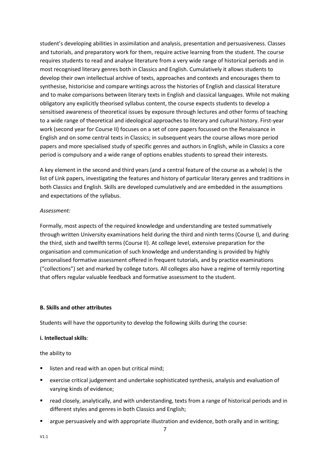student's developing abilities in assimilation and analysis, presentation and persuasiveness. Classes and tutorials, and preparatory work for them, require active learning from the student. The course requires students to read and analyse literature from a very wide range of historical periods and in most recognised literary genres both in Classics and English. Cumulatively it allows students to develop their own intellectual archive of texts, approaches and contexts and encourages them to synthesise, historicise and compare writings across the histories of English and classical literature and to make comparisons between literary texts in English and classical languages. While not making obligatory any explicitly theorised syllabus content, the course expects students to develop a sensitised awareness of theoretical issues by exposure through lectures and other forms of teaching to a wide range of theoretical and ideological approaches to literary and cultural history. First-year work (second year for Course II) focuses on a set of core papers focussed on the Renaissance in English and on some central texts in Classics; in subsequent years the course allows more period papers and more specialised study of specific genres and authors in English, while in Classics a core period is compulsory and a wide range of options enables students to spread their interests.

A key element in the second and third years (and a central feature of the course as a whole) is the list of Link papers, investigating the features and history of particular literary genres and traditions in both Classics and English. Skills are developed cumulatively and are embedded in the assumptions and expectations of the syllabus.

### *Assessment:*

Formally, most aspects of the required knowledge and understanding are tested summatively through written University examinations held during the third and ninth terms (Course I), and during the third, sixth and twelfth terms (Course II). At college level, extensive preparation for the organisation and communication of such knowledge and understanding is provided by highly personalised formative assessment offered in frequent tutorials, and by practice examinations ("collections") set and marked by college tutors. All colleges also have a regime of termly reporting that offers regular valuable feedback and formative assessment to the student.

#### **B. Skills and other attributes**

Students will have the opportunity to develop the following skills during the course:

## **i. Intellectual skills**:

the ability to

- listen and read with an open but critical mind;
- exercise critical judgement and undertake sophisticated synthesis, analysis and evaluation of varying kinds of evidence;
- read closely, analytically, and with understanding, texts from a range of historical periods and in different styles and genres in both Classics and English;
- argue persuasively and with appropriate illustration and evidence, both orally and in writing;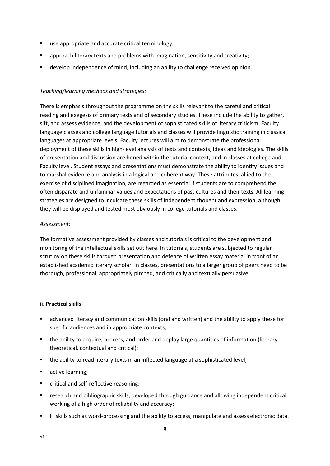- use appropriate and accurate critical terminology;
- **E** approach literary texts and problems with imagination, sensitivity and creativity;
- develop independence of mind, including an ability to challenge received opinion.

### *Teaching/learning methods and strategies:*

There is emphasis throughout the programme on the skills relevant to the careful and critical reading and exegesis of primary texts and of secondary studies. These include the ability to gather, sift, and assess evidence, and the development of sophisticated skills of literary criticism. Faculty language classes and college language tutorials and classes will provide linguistic training in classical languages at appropriate levels. Faculty lectures will aim to demonstrate the professional deployment of these skills in high-level analysis of texts and contexts, ideas and ideologies. The skills of presentation and discussion are honed within the tutorial context, and in classes at college and Faculty level. Student essays and presentations must demonstrate the ability to identify issues and to marshal evidence and analysis in a logical and coherent way. These attributes, allied to the exercise of disciplined imagination, are regarded as essential if students are to comprehend the often disparate and unfamiliar values and expectations of past cultures and their texts. All learning strategies are designed to inculcate these skills of independent thought and expression, although they will be displayed and tested most obviously in college tutorials and classes.

#### *Assessment:*

The formative assessment provided by classes and tutorials is critical to the development and monitoring of the intellectual skills set out here. In tutorials, students are subjected to regular scrutiny on these skills through presentation and defence of written essay material in front of an established academic literary scholar. In classes, presentations to a larger group of peers need to be thorough, professional, appropriately pitched, and critically and textually persuasive.

#### **ii. Practical skills**

- advanced literacy and communication skills (oral and written) and the ability to apply these for specific audiences and in appropriate contexts;
- the ability to acquire, process, and order and deploy large quantities of information (literary, theoretical, contextual and critical);
- the ability to read literary texts in an inflected language at a sophisticated level;
- active learning;
- critical and self-reflective reasoning;
- **■** research and bibliographic skills, developed through guidance and allowing independent critical working of a high order of reliability and accuracy;
- IT skills such as word-processing and the ability to access, manipulate and assess electronic data.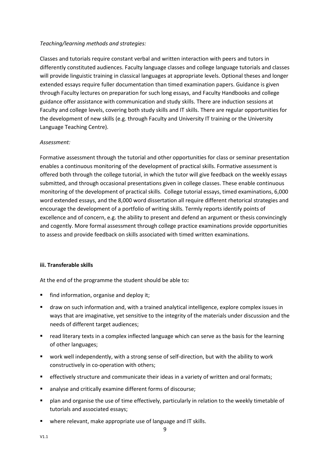### *Teaching/learning methods and strategies:*

Classes and tutorials require constant verbal and written interaction with peers and tutors in differently constituted audiences. Faculty language classes and college language tutorials and classes will provide linguistic training in classical languages at appropriate levels. Optional theses and longer extended essays require fuller documentation than timed examination papers. Guidance is given through Faculty lectures on preparation for such long essays, and Faculty Handbooks and college guidance offer assistance with communication and study skills. There are induction sessions at Faculty and college levels, covering both study skills and IT skills. There are regular opportunities for the development of new skills (e.g. through Faculty and University IT training or the University Language Teaching Centre).

### *Assessment:*

Formative assessment through the tutorial and other opportunities for class or seminar presentation enables a continuous monitoring of the development of practical skills. Formative assessment is offered both through the college tutorial, in which the tutor will give feedback on the weekly essays submitted, and through occasional presentations given in college classes. These enable continuous monitoring of the development of practical skills. College tutorial essays, timed examinations, 6,000 word extended essays, and the 8,000 word dissertation all require different rhetorical strategies and encourage the development of a portfolio of writing skills*.* Termly reports identify points of excellence and of concern, e.g. the ability to present and defend an argument or thesis convincingly and cogently. More formal assessment through college practice examinations provide opportunities to assess and provide feedback on skills associated with timed written examinations.

#### **iii. Transferable skills**

At the end of the programme the student should be able to**:**

- find information, organise and deploy it;
- draw on such information and, with a trained analytical intelligence, explore complex issues in ways that are imaginative, yet sensitive to the integrity of the materials under discussion and the needs of different target audiences;
- read literary texts in a complex inflected language which can serve as the basis for the learning of other languages;
- work well independently, with a strong sense of self-direction, but with the ability to work constructively in co-operation with others;
- **•** effectively structure and communicate their ideas in a variety of written and oral formats;
- analyse and critically examine different forms of discourse;
- plan and organise the use of time effectively, particularly in relation to the weekly timetable of tutorials and associated essays;
- where relevant, make appropriate use of language and IT skills.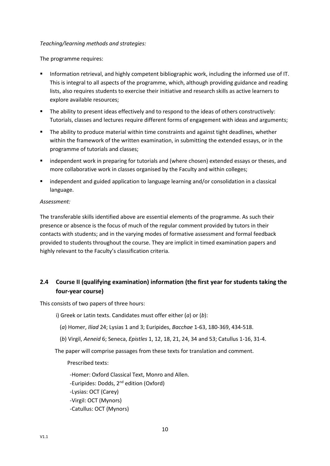### *Teaching/learning methods and strategies:*

The programme requires:

- Information retrieval, and highly competent bibliographic work, including the informed use of IT. This is integral to all aspects of the programme, which, although providing guidance and reading lists, also requires students to exercise their initiative and research skills as active learners to explore available resources;
- **•** The ability to present ideas effectively and to respond to the ideas of others constructively: Tutorials, classes and lectures require different forms of engagement with ideas and arguments;
- The ability to produce material within time constraints and against tight deadlines, whether within the framework of the written examination, in submitting the extended essays, or in the programme of tutorials and classes;
- **■** independent work in preparing for tutorials and (where chosen) extended essays or theses, and more collaborative work in classes organised by the Faculty and within colleges;
- independent and guided application to language learning and/or consolidation in a classical language.

#### *Assessment:*

The transferable skills identified above are essential elements of the programme. As such their presence or absence is the focus of much of the regular comment provided by tutors in their contacts with students; and in the varying modes of formative assessment and formal feedback provided to students throughout the course. They are implicit in timed examination papers and highly relevant to the Faculty's classification criteria.

# <span id="page-10-0"></span>**2.4 Course II (qualifying examination) information (the first year for students taking the four-year course)**

This consists of two papers of three hours:

- i) Greek or Latin texts. Candidates must offer either (*a*) or (*b*):
	- (*a*) Homer, *Iliad* 24; Lysias 1 and 3; Euripides, *Bacchae* 1-63, 180-369, 434-518.
	- (*b*) Virgil, *Aeneid* 6; Seneca, *Epistles* 1, 12, 18, 21, 24, 34 and 53; Catullus 1-16, 31-4.

The paper will comprise passages from these texts for translation and comment.

Prescribed texts:

-Homer: Oxford Classical Text, Monro and Allen. -Euripides: Dodds, 2<sup>nd</sup> edition (Oxford) -Lysias: OCT (Carey) -Virgil: OCT (Mynors) -Catullus: OCT (Mynors)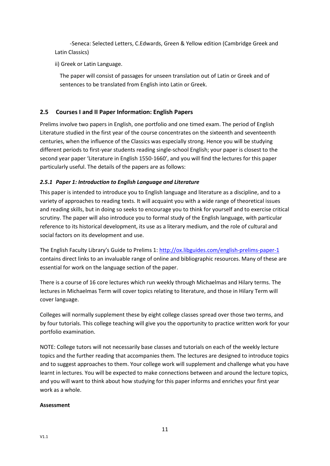-Seneca: Selected Letters, C.Edwards, Green & Yellow edition (Cambridge Greek and Latin Classics)

ii) Greek or Latin Language.

The paper will consist of passages for unseen translation out of Latin or Greek and of sentences to be translated from English into Latin or Greek.

## <span id="page-11-0"></span>**2.5 Courses I and II Paper Information: English Papers**

Prelims involve two papers in English, one portfolio and one timed exam. The period of English Literature studied in the first year of the course concentrates on the sixteenth and seventeenth centuries, when the influence of the Classics was especially strong. Hence you will be studying different periods to first-year students reading single-school English; your paper is closest to the second year paper 'Literature in English 1550-1660', and you will find the lectures for this paper particularly useful. The details of the papers are as follows:

## <span id="page-11-1"></span>*2.5.1 Paper 1: Introduction to English Language and Literature*

This paper is intended to introduce you to English language and literature as a discipline, and to a variety of approaches to reading texts. It will acquaint you with a wide range of theoretical issues and reading skills, but in doing so seeks to encourage you to think for yourself and to exercise critical scrutiny. The paper will also introduce you to formal study of the English language, with particular reference to its historical development, its use as a literary medium, and the role of cultural and social factors on its development and use.

The English Faculty Library's Guide to Prelims 1: <http://ox.libguides.com/english-prelims-paper-1> contains direct links to an invaluable range of online and bibliographic resources. Many of these are essential for work on the language section of the paper.

There is a course of 16 core lectures which run weekly through Michaelmas and Hilary terms. The lectures in Michaelmas Term will cover topics relating to literature, and those in Hilary Term will cover language.

Colleges will normally supplement these by eight college classes spread over those two terms, and by four tutorials. This college teaching will give you the opportunity to practice written work for your portfolio examination.

NOTE: College tutors will not necessarily base classes and tutorials on each of the weekly lecture topics and the further reading that accompanies them. The lectures are designed to introduce topics and to suggest approaches to them. Your college work will supplement and challenge what you have learnt in lectures. You will be expected to make connections between and around the lecture topics, and you will want to think about how studying for this paper informs and enriches your first year work as a whole.

## **Assessment**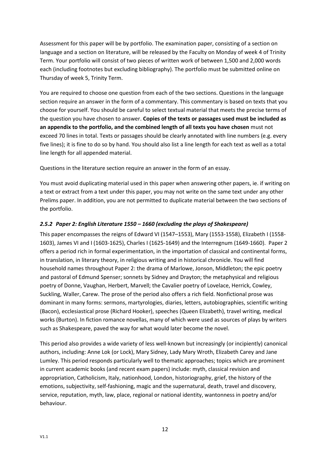Assessment for this paper will be by portfolio. The examination paper, consisting of a section on language and a section on literature, will be released by the Faculty on Monday of week 4 of Trinity Term. Your portfolio will consist of two pieces of written work of between 1,500 and 2,000 words each (including footnotes but excluding bibliography). The portfolio must be submitted online on Thursday of week 5, Trinity Term.

You are required to choose one question from each of the two sections. Questions in the language section require an answer in the form of a commentary. This commentary is based on texts that you choose for yourself. You should be careful to select textual material that meets the precise terms of the question you have chosen to answer. **Copies of the texts or passages used must be included as an appendix to the portfolio, and the combined length of all texts you have chosen** must not exceed 70 lines in total. Texts or passages should be clearly annotated with line numbers (e.g. every five lines); it is fine to do so by hand. You should also list a line length for each text as well as a total line length for all appended material.

Questions in the literature section require an answer in the form of an essay.

You must avoid duplicating material used in this paper when answering other papers, ie. if writing on a text or extract from a text under this paper, you may not write on the same text under any other Prelims paper. In addition, you are not permitted to duplicate material between the two sections of the portfolio.

## <span id="page-12-0"></span>*2.5.2 Paper 2: English Literature 1550 – 1660 (excluding the plays of Shakespeare)*

This paper encompasses the reigns of Edward VI (1547–1553), Mary (1553-1558), Elizabeth I (1558- 1603), James VI and I (1603-1625), Charles I (1625-1649) and the Interregnum (1649-1660). Paper 2 offers a period rich in formal experimentation, in the importation of classical and continental forms, in translation, in literary theory, in religious writing and in historical chronicle. You will find household names throughout Paper 2: the drama of Marlowe, Jonson, Middleton; the epic poetry and pastoral of Edmund Spenser; sonnets by Sidney and Drayton; the metaphysical and religious poetry of Donne, Vaughan, Herbert, Marvell; the Cavalier poetry of Lovelace, Herrick, Cowley, Suckling, Waller, Carew. The prose of the period also offers a rich field. Nonfictional prose was dominant in many forms: sermons, martyrologies, diaries, letters, autobiographies, scientific writing (Bacon), ecclesiastical prose (Richard Hooker), speeches (Queen Elizabeth), travel writing, medical works (Burton). In fiction romance novellas, many of which were used as sources of plays by writers such as Shakespeare, paved the way for what would later become the novel.

This period also provides a wide variety of less well-known but increasingly (or incipiently) canonical authors, including: Anne Lok (or Lock), Mary Sidney, Lady Mary Wroth, Elizabeth Carey and Jane Lumley. This period responds particularly well to thematic approaches; topics which are prominent in current academic books (and recent exam papers) include: myth, classical revision and appropriation, Catholicism, Italy, nationhood, London, historiography, grief, the history of the emotions, subjectivity, self-fashioning, magic and the supernatural, death, travel and discovery, service, reputation, myth, law, place, regional or national identity, wantonness in poetry and/or behaviour.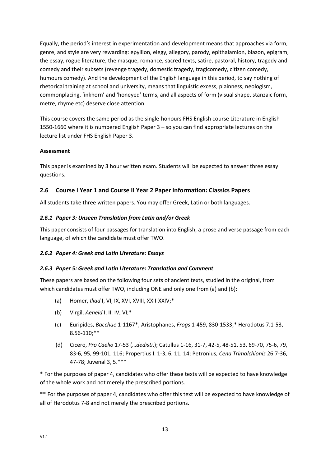Equally, the period's interest in experimentation and development means that approaches via form, genre, and style are very rewarding: epyllion, elegy, allegory, parody, epithalamion, blazon, epigram, the essay, rogue literature, the masque, romance, sacred texts, satire, pastoral, history, tragedy and comedy and their subsets (revenge tragedy, domestic tragedy, tragicomedy, citizen comedy, humours comedy). And the development of the English language in this period, to say nothing of rhetorical training at school and university, means that linguistic excess, plainness, neologism, commonplacing, 'inkhorn' and 'honeyed' terms, and all aspects of form (visual shape, stanzaic form, metre, rhyme etc) deserve close attention.

This course covers the same period as the single-honours FHS English course Literature in English 1550-1660 where it is numbered English Paper 3 – so you can find appropriate lectures on the lecture list under FHS English Paper 3.

## **Assessment**

This paper is examined by 3 hour written exam. Students will be expected to answer three essay questions.

## <span id="page-13-0"></span>**2.6 Course I Year 1 and Course II Year 2 Paper Information: Classics Papers**

All students take three written papers. You may offer Greek, Latin or both languages.

## <span id="page-13-1"></span>*2.6.1 Paper 3: Unseen Translation from Latin and/or Greek*

This paper consists of four passages for translation into English, a prose and verse passage from each language, of which the candidate must offer TWO.

## <span id="page-13-2"></span>*2.6.2 Paper 4: Greek and Latin Literature: Essays*

#### <span id="page-13-3"></span>*2.6.3 Paper 5: Greek and Latin Literature: Translation and Comment*

These papers are based on the following four sets of ancient texts, studied in the original, from which candidates must offer TWO, including ONE and only one from (a) and (b):

- (a) Homer, *Iliad* I, VI, IX, XVI, XVIII, XXII-XXIV;\*
- (b) Virgil, *Aeneid* I, II, IV, VI;\*
- (c) Euripides, *Bacchae* 1-1167\*; Aristophanes, *Frogs* 1-459, 830-1533;\* Herodotus 7.1-53, 8.56-110;\*\*
- (d) Cicero, *Pro Caelio* 17-53 (…*dedisti*.); Catullus 1-16, 31-7, 42-5, 48-51, 53, 69-70, 75-6, 79, 83-6, 95, 99-101, 116; Propertius I. 1-3, 6, 11, 14; Petronius, *Cena Trimalchionis* 26.7-36, 47-78; Juvenal 3, 5.\*\*\*

\* For the purposes of paper 4, candidates who offer these texts will be expected to have knowledge of the whole work and not merely the prescribed portions.

\*\* For the purposes of paper 4, candidates who offer this text will be expected to have knowledge of all of Herodotus 7-8 and not merely the prescribed portions.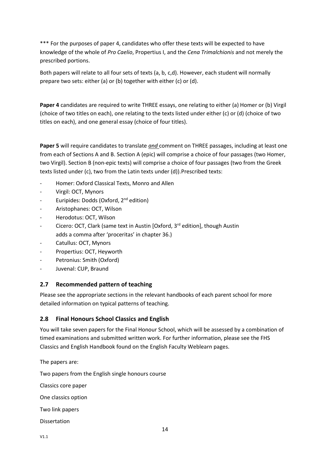\*\*\* For the purposes of paper 4, candidates who offer these texts will be expected to have knowledge of the whole of *Pro Caelio*, Propertius I, and the *Cena Trimalchionis* and not merely the prescribed portions.

Both papers will relate to all four sets of texts (a, b, c,d). However, each student will normally prepare two sets: either (a) or (b) together with either (c) or (d).

**Paper 4** candidates are required to write THREE essays, one relating to either (a) Homer or (b) Virgil (choice of two titles on each), one relating to the texts listed under either (c) or (d) (choice of two titles on each), and one general essay (choice of four titles).

**Paper 5** will require candidates to translate *and* comment on THREE passages, including at least one from each of Sections A and B. Section A (epic) will comprise a choice of four passages (two Homer, two Virgil). Section B (non-epic texts) will comprise a choice of four passages (two from the Greek texts listed under (c), two from the Latin texts under (d)).Prescribed texts:

- Homer: Oxford Classical Texts, Monro and Allen
- Virgil: OCT, Mynors
- Euripides: Dodds (Oxford, 2<sup>nd</sup> edition)
- Aristophanes: OCT, Wilson
- Herodotus: OCT, Wilson
- Cicero: OCT, Clark (same text in Austin [Oxford, 3<sup>rd</sup> edition], though Austin adds a comma after 'proceritas' in chapter 36.)
- Catullus: OCT, Mynors
- Propertius: OCT, Heyworth
- Petronius: Smith (Oxford)
- Juvenal: CUP, Braund

## <span id="page-14-0"></span>**2.7 Recommended pattern of teaching**

Please see the appropriate sections in the relevant handbooks of each parent school for more detailed information on typical patterns of teaching.

## <span id="page-14-1"></span>**2.8 Final Honours School Classics and English**

You will take seven papers for the Final Honour School, which will be assessed by a combination of timed examinations and submitted written work. For further information, please see the FHS Classics and English Handbook found on the English Faculty Weblearn pages.

The papers are:

Two papers from the English single honours course

Classics core paper

One classics option

Two link papers

Dissertation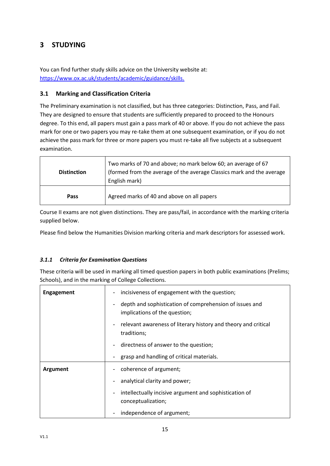# <span id="page-15-0"></span>**3 STUDYING**

You can find further study skills advice on the University website at: [https://www.ox.ac.uk/students/academic/guidance/skills.](https://www.ox.ac.uk/students/academic/guidance/skills?wssl=1)

## <span id="page-15-1"></span>**3.1 Marking and Classification Criteria**

The Preliminary examination is not classified, but has three categories: Distinction, Pass, and Fail. They are designed to ensure that students are sufficiently prepared to proceed to the Honours degree. To this end, all papers must gain a pass mark of 40 or above. If you do not achieve the pass mark for one or two papers you may re-take them at one subsequent examination, or if you do not achieve the pass mark for three or more papers you must re-take all five subjects at a subsequent examination.

| <b>Distinction</b> | Two marks of 70 and above; no mark below 60; an average of 67<br>(formed from the average of the average Classics mark and the average<br>English mark) |
|--------------------|---------------------------------------------------------------------------------------------------------------------------------------------------------|
| Pass               | Agreed marks of 40 and above on all papers                                                                                                              |

Course II exams are not given distinctions. They are pass/fail, in accordance with the marking criteria supplied below.

Please find below the Humanities Division marking criteria and mark descriptors for assessed work.

## <span id="page-15-2"></span>*3.1.1 Criteria for Examination Questions*

These criteria will be used in marking all timed question papers in both public examinations (Prelims; Schools), and in the marking of College Collections.

| <b>Engagement</b> | incisiveness of engagement with the question;                                            |
|-------------------|------------------------------------------------------------------------------------------|
|                   | depth and sophistication of comprehension of issues and<br>implications of the question; |
|                   | relevant awareness of literary history and theory and critical<br>traditions;            |
|                   | directness of answer to the question;                                                    |
|                   | grasp and handling of critical materials.                                                |
| Argument          | coherence of argument;                                                                   |
|                   | analytical clarity and power;                                                            |
|                   | intellectually incisive argument and sophistication of<br>conceptualization;             |
|                   | independence of argument;                                                                |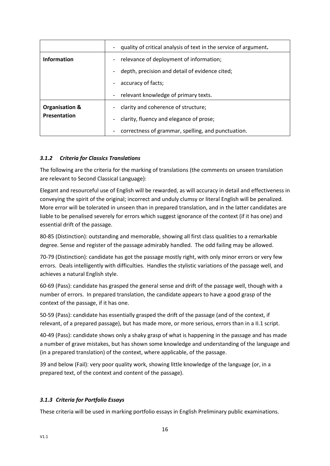|                           | quality of critical analysis of text in the service of argument. |  |
|---------------------------|------------------------------------------------------------------|--|
| Information               | relevance of deployment of information;                          |  |
|                           | depth, precision and detail of evidence cited;                   |  |
|                           | accuracy of facts;                                               |  |
|                           | relevant knowledge of primary texts.                             |  |
| <b>Organisation &amp;</b> | clarity and coherence of structure;                              |  |
| Presentation              | clarity, fluency and elegance of prose;                          |  |
|                           | correctness of grammar, spelling, and punctuation.               |  |

## <span id="page-16-0"></span>*3.1.2 Criteria for Classics Translations*

The following are the criteria for the marking of translations (the comments on unseen translation are relevant to Second Classical Language):

Elegant and resourceful use of English will be rewarded, as will accuracy in detail and effectiveness in conveying the spirit of the original; incorrect and unduly clumsy or literal English will be penalized. More error will be tolerated in unseen than in prepared translation, and in the latter candidates are liable to be penalised severely for errors which suggest ignorance of the context (if it has one) and essential drift of the passage.

80-85 (Distinction): outstanding and memorable, showing all first class qualities to a remarkable degree. Sense and register of the passage admirably handled. The odd failing may be allowed.

70-79 (Distinction): candidate has got the passage mostly right, with only minor errors or very few errors. Deals intelligently with difficulties. Handles the stylistic variations of the passage well, and achieves a natural English style.

60-69 (Pass): candidate has grasped the general sense and drift of the passage well, though with a number of errors. In prepared translation, the candidate appears to have a good grasp of the context of the passage, if it has one.

50-59 (Pass): candidate has essentially grasped the drift of the passage (and of the context, if relevant, of a prepared passage), but has made more, or more serious, errors than in a II.1 script.

40-49 (Pass): candidate shows only a shaky grasp of what is happening in the passage and has made a number of grave mistakes, but has shown some knowledge and understanding of the language and (in a prepared translation) of the context, where applicable, of the passage.

39 and below (Fail): very poor quality work, showing little knowledge of the language (or, in a prepared text, of the context and content of the passage).

## <span id="page-16-1"></span>*3.1.3 Criteria for Portfolio Essays*

These criteria will be used in marking portfolio essays in English Preliminary public examinations.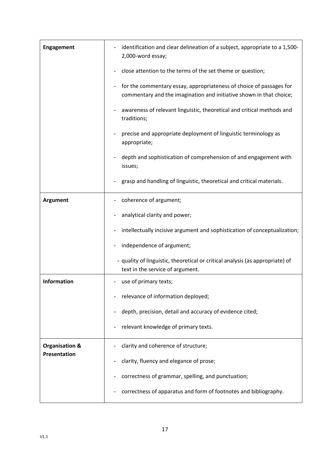| <b>Engagement</b>         | identification and clear delineation of a subject, appropriate to a 1,500-<br>2,000-word essay;                                            |  |
|---------------------------|--------------------------------------------------------------------------------------------------------------------------------------------|--|
|                           | close attention to the terms of the set theme or question;                                                                                 |  |
|                           | for the commentary essay, appropriateness of choice of passages for<br>commentary and the imagination and initiative shown in that choice; |  |
|                           | awareness of relevant linguistic, theoretical and critical methods and<br>traditions;                                                      |  |
|                           | precise and appropriate deployment of linguistic terminology as<br>appropriate;                                                            |  |
|                           | depth and sophistication of comprehension of and engagement with<br>issues;                                                                |  |
|                           | grasp and handling of linguistic, theoretical and critical materials.                                                                      |  |
| <b>Argument</b>           | coherence of argument;                                                                                                                     |  |
|                           | analytical clarity and power;                                                                                                              |  |
|                           | intellectually incisive argument and sophistication of conceptualization;                                                                  |  |
|                           | independence of argument;                                                                                                                  |  |
|                           | - quality of linguistic, theoretical or critical analysis (as appropriate) of<br>text in the service of argument.                          |  |
| Information               | use of primary texts;                                                                                                                      |  |
|                           | relevance of information deployed;                                                                                                         |  |
|                           | depth, precision, detail and accuracy of evidence cited;                                                                                   |  |
|                           | relevant knowledge of primary texts.                                                                                                       |  |
| <b>Organisation &amp;</b> | clarity and coherence of structure;                                                                                                        |  |
| Presentation              | clarity, fluency and elegance of prose;                                                                                                    |  |
|                           | correctness of grammar, spelling, and punctuation;                                                                                         |  |
|                           | correctness of apparatus and form of footnotes and bibliography.                                                                           |  |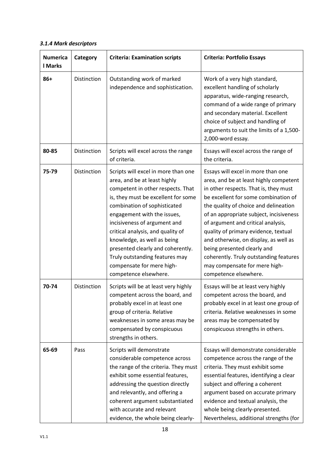## <span id="page-18-0"></span>*3.1.4 Mark descriptors*

| <b>Numerica</b><br><b>I</b> Marks | Category    | <b>Criteria: Examination scripts</b>                                                                                                                                                                                                                                                                                                                                                                                                            | <b>Criteria: Portfolio Essays</b>                                                                                                                                                                                                                                                                                                                                                                                                                                                                           |
|-----------------------------------|-------------|-------------------------------------------------------------------------------------------------------------------------------------------------------------------------------------------------------------------------------------------------------------------------------------------------------------------------------------------------------------------------------------------------------------------------------------------------|-------------------------------------------------------------------------------------------------------------------------------------------------------------------------------------------------------------------------------------------------------------------------------------------------------------------------------------------------------------------------------------------------------------------------------------------------------------------------------------------------------------|
| $86+$                             | Distinction | Outstanding work of marked<br>independence and sophistication.                                                                                                                                                                                                                                                                                                                                                                                  | Work of a very high standard,<br>excellent handling of scholarly<br>apparatus, wide-ranging research,<br>command of a wide range of primary<br>and secondary material. Excellent<br>choice of subject and handling of<br>arguments to suit the limits of a 1,500-<br>2,000-word essay.                                                                                                                                                                                                                      |
| 80-85                             | Distinction | Scripts will excel across the range<br>of criteria.                                                                                                                                                                                                                                                                                                                                                                                             | Essays will excel across the range of<br>the criteria.                                                                                                                                                                                                                                                                                                                                                                                                                                                      |
| 75-79                             | Distinction | Scripts will excel in more than one<br>area, and be at least highly<br>competent in other respects. That<br>is, they must be excellent for some<br>combination of sophisticated<br>engagement with the issues,<br>incisiveness of argument and<br>critical analysis, and quality of<br>knowledge, as well as being<br>presented clearly and coherently.<br>Truly outstanding features may<br>compensate for mere high-<br>competence elsewhere. | Essays will excel in more than one<br>area, and be at least highly competent<br>in other respects. That is, they must<br>be excellent for some combination of<br>the quality of choice and delineation<br>of an appropriate subject, incisiveness<br>of argument and critical analysis,<br>quality of primary evidence, textual<br>and otherwise, on display, as well as<br>being presented clearly and<br>coherently. Truly outstanding features<br>may compensate for mere high-<br>competence elsewhere. |
| 70-74                             | Distinction | Scripts will be at least very highly<br>competent across the board, and<br>probably excel in at least one<br>group of criteria. Relative<br>weaknesses in some areas may be<br>compensated by conspicuous<br>strengths in others.                                                                                                                                                                                                               | Essays will be at least very highly<br>competent across the board, and<br>probably excel in at least one group of<br>criteria. Relative weaknesses in some<br>areas may be compensated by<br>conspicuous strengths in others.                                                                                                                                                                                                                                                                               |
| 65-69                             | Pass        | Scripts will demonstrate<br>considerable competence across<br>the range of the criteria. They must<br>exhibit some essential features,<br>addressing the question directly<br>and relevantly, and offering a<br>coherent argument substantiated<br>with accurate and relevant<br>evidence, the whole being clearly-                                                                                                                             | Essays will demonstrate considerable<br>competence across the range of the<br>criteria. They must exhibit some<br>essential features, identifying a clear<br>subject and offering a coherent<br>argument based on accurate primary<br>evidence and textual analysis, the<br>whole being clearly-presented.<br>Nevertheless, additional strengths (for                                                                                                                                                       |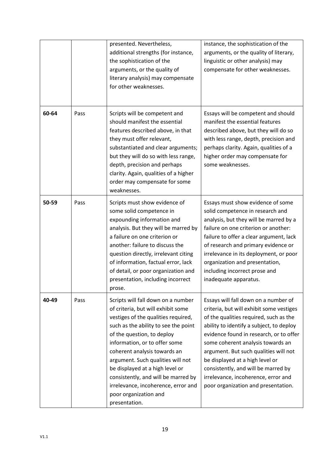|       |      | presented. Nevertheless,<br>additional strengths (for instance,<br>the sophistication of the<br>arguments, or the quality of<br>literary analysis) may compensate<br>for other weaknesses.                                                                                                                                                                                                                                                             | instance, the sophistication of the<br>arguments, or the quality of literary,<br>linguistic or other analysis) may<br>compensate for other weaknesses.                                                                                                                                                                                                                                                                                                  |
|-------|------|--------------------------------------------------------------------------------------------------------------------------------------------------------------------------------------------------------------------------------------------------------------------------------------------------------------------------------------------------------------------------------------------------------------------------------------------------------|---------------------------------------------------------------------------------------------------------------------------------------------------------------------------------------------------------------------------------------------------------------------------------------------------------------------------------------------------------------------------------------------------------------------------------------------------------|
| 60-64 | Pass | Scripts will be competent and<br>should manifest the essential<br>features described above, in that<br>they must offer relevant,<br>substantiated and clear arguments;<br>but they will do so with less range,<br>depth, precision and perhaps<br>clarity. Again, qualities of a higher<br>order may compensate for some<br>weaknesses.                                                                                                                | Essays will be competent and should<br>manifest the essential features<br>described above, but they will do so<br>with less range, depth, precision and<br>perhaps clarity. Again, qualities of a<br>higher order may compensate for<br>some weaknesses.                                                                                                                                                                                                |
| 50-59 | Pass | Scripts must show evidence of<br>some solid competence in<br>expounding information and<br>analysis. But they will be marred by<br>a failure on one criterion or<br>another: failure to discuss the<br>question directly, irrelevant citing<br>of information, factual error, lack<br>of detail, or poor organization and<br>presentation, including incorrect<br>prose.                                                                               | Essays must show evidence of some<br>solid competence in research and<br>analysis, but they will be marred by a<br>failure on one criterion or another:<br>failure to offer a clear argument, lack<br>of research and primary evidence or<br>irrelevance in its deployment, or poor<br>organization and presentation,<br>including incorrect prose and<br>inadequate apparatus.                                                                         |
| 40-49 | Pass | Scripts will fall down on a number<br>of criteria, but will exhibit some<br>vestiges of the qualities required,<br>such as the ability to see the point<br>of the question, to deploy<br>information, or to offer some<br>coherent analysis towards an<br>argument. Such qualities will not<br>be displayed at a high level or<br>consistently, and will be marred by<br>irrelevance, incoherence, error and<br>poor organization and<br>presentation. | Essays will fall down on a number of<br>criteria, but will exhibit some vestiges<br>of the qualities required, such as the<br>ability to identify a subject, to deploy<br>evidence found in research, or to offer<br>some coherent analysis towards an<br>argument. But such qualities will not<br>be displayed at a high level or<br>consistently, and will be marred by<br>irrelevance, incoherence, error and<br>poor organization and presentation. |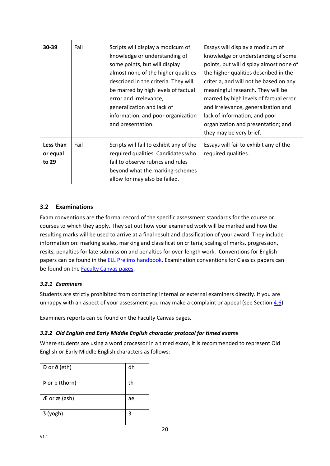| 30-39                          | Fail | Scripts will display a modicum of<br>knowledge or understanding of<br>some points, but will display<br>almost none of the higher qualities<br>described in the criteria. They will<br>be marred by high levels of factual<br>error and irrelevance,<br>generalization and lack of<br>information, and poor organization<br>and presentation. | Essays will display a modicum of<br>knowledge or understanding of some<br>points, but will display almost none of<br>the higher qualities described in the<br>criteria, and will not be based on any<br>meaningful research. They will be<br>marred by high levels of factual error<br>and irrelevance, generalization and<br>lack of information, and poor<br>organization and presentation; and<br>they may be very brief. |
|--------------------------------|------|----------------------------------------------------------------------------------------------------------------------------------------------------------------------------------------------------------------------------------------------------------------------------------------------------------------------------------------------|------------------------------------------------------------------------------------------------------------------------------------------------------------------------------------------------------------------------------------------------------------------------------------------------------------------------------------------------------------------------------------------------------------------------------|
| Less than<br>or equal<br>to 29 | Fail | Scripts will fail to exhibit any of the<br>required qualities. Candidates who<br>fail to observe rubrics and rules<br>beyond what the marking-schemes<br>allow for may also be failed.                                                                                                                                                       | Essays will fail to exhibit any of the<br>required qualities.                                                                                                                                                                                                                                                                                                                                                                |

## <span id="page-20-0"></span>**3.2 Examinations**

Exam conventions are the formal record of the specific assessment standards for the course or courses to which they apply. They set out how your examined work will be marked and how the resulting marks will be used to arrive at a final result and classification of your award. They include information on: marking scales, marking and classification criteria, scaling of marks, progression, resits, penalties for late submission and penalties for over-length work. Conventions for English papers can be found in the [ELL Prelims handbook.](https://oess.web.ox.ac.uk/handbooks) Examination conventions for Classics papers can be found on the [Faculty Canvas pages.](https://login.canvas.ox.ac.uk/)

## <span id="page-20-1"></span>*3.2.1 Examiners*

Students are strictly prohibited from contacting internal or external examiners directly. If you are unhappy with an aspect of your assessment you may make a complaint or appeal (see Sectio[n 4.6\)](#page-34-2)

Examiners reports can be found on the Faculty Canvas pages.

## <span id="page-20-2"></span>*3.2.2 Old English and Early Middle English character protocol for timed exams*

Where students are using a word processor in a timed exam, it is recommended to represent Old English or Early Middle English characters as follows:

| Đ or ð (eth)                     | dh |
|----------------------------------|----|
| Þ or þ (thorn)                   | th |
| $AE$ or $\mathbf{\hat{a}}$ (ash) | ae |
| 3 (yogh)                         | 3  |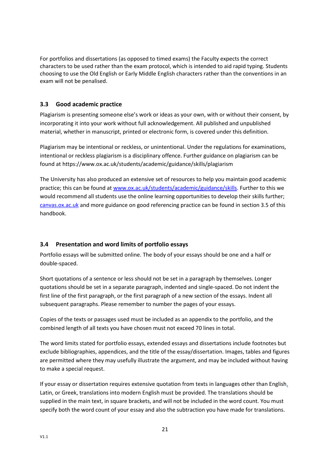For portfolios and dissertations (as opposed to timed exams) the Faculty expects the correct characters to be used rather than the exam protocol, which is intended to aid rapid typing. Students choosing to use the Old English or Early Middle English characters rather than the conventions in an exam will not be penalised.

## <span id="page-21-0"></span>**3.3 Good academic practice**

Plagiarism is presenting someone else's work or ideas as your own, with or without their consent, by incorporating it into your work without full acknowledgement. All published and unpublished material, whether in manuscript, printed or electronic form, is covered under this definition.

Plagiarism may be intentional or reckless, or unintentional. Under the regulations for examinations, intentional or reckless plagiarism is a disciplinary offence. Further guidance on plagiarism can be found at https://www.ox.ac.uk/students/academic/guidance/skills/plagiarism

The University has also produced an extensive set of resources to help you maintain good academic practice; this can be found at [www.ox.ac.uk/students/academic/guidance/skills.](http://www.ox.ac.uk/students/academic/guidance/skills) Further to this we would recommend all students use the online learning opportunities to develop their skills further; [canvas.ox.ac.uk](https://www.canvas.ox.ac.uk/) and more guidance on good referencing practice can be found in section 3.5 of this handbook.

## <span id="page-21-1"></span>**3.4 Presentation and word limits of portfolio essays**

Portfolio essays will be submitted online. The body of your essays should be one and a half or double-spaced.

Short quotations of a sentence or less should not be set in a paragraph by themselves. Longer quotations should be set in a separate paragraph, indented and single-spaced. Do not indent the first line of the first paragraph, or the first paragraph of a new section of the essays. Indent all subsequent paragraphs. Please remember to number the pages of your essays.

Copies of the texts or passages used must be included as an appendix to the portfolio, and the combined length of all texts you have chosen must not exceed 70 lines in total.

The word limits stated for portfolio essays, extended essays and dissertations include footnotes but exclude bibliographies, appendices, and the title of the essay/dissertation. Images, tables and figures are permitted where they may usefully illustrate the argument, and may be included without having to make a special request.

If your essay or dissertation requires extensive quotation from texts in languages other than English, Latin, or Greek, translations into modern English must be provided. The translations should be supplied in the main text, in square brackets, and will not be included in the word count. You must specify both the word count of your essay and also the subtraction you have made for translations.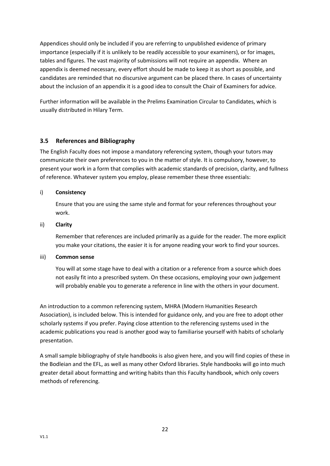Appendices should only be included if you are referring to unpublished evidence of primary importance (especially if it is unlikely to be readily accessible to your examiners), or for images, tables and figures. The vast majority of submissions will not require an appendix. Where an appendix is deemed necessary, every effort should be made to keep it as short as possible, and candidates are reminded that no discursive argument can be placed there. In cases of uncertainty about the inclusion of an appendix it is a good idea to consult the Chair of Examiners for advice.

Further information will be available in the Prelims Examination Circular to Candidates, which is usually distributed in Hilary Term.

## <span id="page-22-0"></span>**3.5 References and Bibliography**

The English Faculty does not impose a mandatory referencing system, though your tutors may communicate their own preferences to you in the matter of style. It is compulsory, however, to present your work in a form that complies with academic standards of precision, clarity, and fullness of reference. Whatever system you employ, please remember these three essentials:

## i) **Consistency**

Ensure that you are using the same style and format for your references throughout your work.

### ii) **Clarity**

Remember that references are included primarily as a guide for the reader. The more explicit you make your citations, the easier it is for anyone reading your work to find your sources.

#### iii) **Common sense**

You will at some stage have to deal with a citation or a reference from a source which does not easily fit into a prescribed system. On these occasions, employing your own judgement will probably enable you to generate a reference in line with the others in your document.

An introduction to a common referencing system, MHRA (Modern Humanities Research Association), is included below. This is intended for guidance only, and you are free to adopt other scholarly systems if you prefer. Paying close attention to the referencing systems used in the academic publications you read is another good way to familiarise yourself with habits of scholarly presentation.

A small sample bibliography of style handbooks is also given here, and you will find copies of these in the Bodleian and the EFL, as well as many other Oxford libraries. Style handbooks will go into much greater detail about formatting and writing habits than this Faculty handbook, which only covers methods of referencing.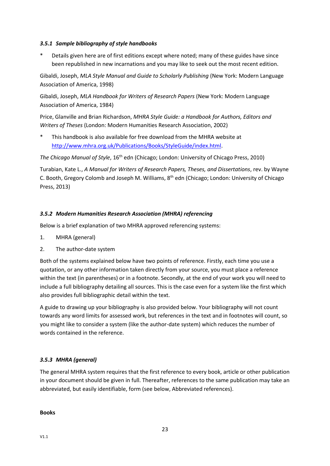### <span id="page-23-0"></span>*3.5.1 Sample bibliography of style handbooks*

Details given here are of first editions except where noted; many of these guides have since been republished in new incarnations and you may like to seek out the most recent edition.

Gibaldi, Joseph, *MLA Style Manual and Guide to Scholarly Publishing* (New York: Modern Language Association of America, 1998)

Gibaldi, Joseph, *MLA Handbook for Writers of Research Papers* (New York: Modern Language Association of America, 1984)

Price, Glanville and Brian Richardson, *MHRA Style Guide: a Handbook for Authors, Editors and Writers of Theses* (London: Modern Humanities Research Association, 2002)

This handbook is also available for free download from the MHRA website at [http://www.mhra.org.uk/Publications/Books/StyleGuide/index.html.](http://www.mhra.org.uk/Publications/Books/StyleGuide/index.html)

*The Chicago Manual of Style*, 16<sup>th</sup> edn (Chicago; London: University of Chicago Press, 2010)

Turabian, Kate L., *A Manual for Writers of Research Papers, Theses, and Dissertations*, rev. by Wayne C. Booth, Gregory Colomb and Joseph M. Williams, 8<sup>th</sup> edn (Chicago; London: University of Chicago Press, 2013)

## <span id="page-23-1"></span>*3.5.2 Modern Humanities Research Association (MHRA) referencing*

Below is a brief explanation of two MHRA approved referencing systems:

- 1. MHRA (general)
- 2. The author-date system

Both of the systems explained below have two points of reference. Firstly, each time you use a quotation, or any other information taken directly from your source, you must place a reference within the text (in parentheses) or in a footnote. Secondly, at the end of your work you will need to include a full bibliography detailing all sources. This is the case even for a system like the first which also provides full bibliographic detail within the text.

A guide to drawing up your bibliography is also provided below. Your bibliography will not count towards any word limits for assessed work, but references in the text and in footnotes will count, so you might like to consider a system (like the author-date system) which reduces the number of words contained in the reference.

## <span id="page-23-2"></span>*3.5.3 MHRA (general)*

The general MHRA system requires that the first reference to every book, article or other publication in your document should be given in full. Thereafter, references to the same publication may take an abbreviated, but easily identifiable, form (see below, Abbreviated references).

**Books**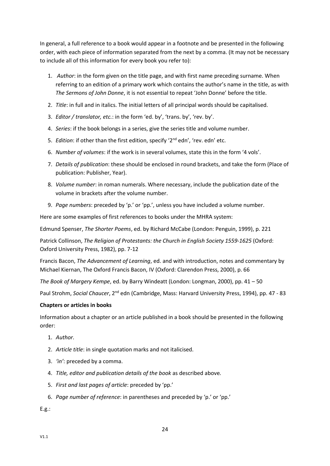In general, a full reference to a book would appear in a footnote and be presented in the following order, with each piece of information separated from the next by a comma. (It may not be necessary to include all of this information for every book you refer to):

- 1. *Author*: in the form given on the title page, and with first name preceding surname. When referring to an edition of a primary work which contains the author's name in the title, as with *The Sermons of John Donne*, it is not essential to repeat 'John Donne' before the title.
- 2. *Title*: in full and in italics. The initial letters of all principal words should be capitalised.
- 3. *Editor / translator, etc.*: in the form 'ed. by', 'trans. by', 'rev. by'.
- 4. *Series*: if the book belongs in a series, give the series title and volume number.
- 5. *Edition*: if other than the first edition, specify '2nd edn', 'rev. edn' etc.
- 6. *Number of volumes*: if the work is in several volumes, state this in the form '4 vols'.
- 7. *Details of publication*: these should be enclosed in round brackets, and take the form (Place of publication: Publisher, Year).
- 8. *Volume number*: in roman numerals. Where necessary, include the publication date of the volume in brackets after the volume number.
- 9. *Page numbers*: preceded by 'p.' or 'pp.', unless you have included a volume number.

Here are some examples of first references to books under the MHRA system:

Edmund Spenser, *The Shorter Poems*, ed. by Richard McCabe (London: Penguin, 1999), p. 221

Patrick Collinson, *The Religion of Protestants: the Church in English Society 1559-1625* (Oxford: Oxford University Press, 1982), pp. 7-12

Francis Bacon, *The Advancement of Learning*, ed. and with introduction, notes and commentary by Michael Kiernan, The Oxford Francis Bacon, IV (Oxford: Clarendon Press, 2000), p. 66

*The Book of Margery Kempe*, ed. by Barry Windeatt (London: Longman, 2000), pp. 41 – 50

Paul Strohm, *Social Chaucer*, 2<sup>nd</sup> edn (Cambridge, Mass: Harvard University Press, 1994), pp. 47 - 83

#### **Chapters or articles in books**

Information about a chapter or an article published in a book should be presented in the following order:

- 1. *Author.*
- 2. *Article title*: in single quotation marks and not italicised.
- 3. *'in'*: preceded by a comma.
- 4. *Title, editor and publication details of the book* as described above*.*
- 5. *First and last pages of article*: preceded by 'pp.'
- 6. *Page number of reference*: in parentheses and preceded by 'p.' or 'pp.'

E.g.: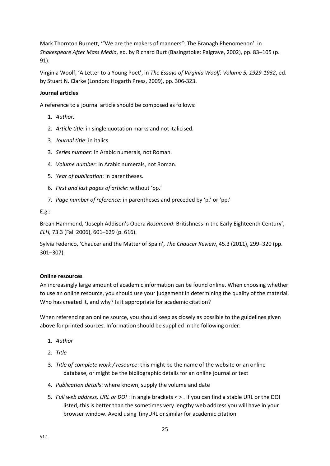Mark Thornton Burnett, '"We are the makers of manners": The Branagh Phenomenon', in *Shakespeare After Mass Media*, ed. by Richard Burt (Basingstoke: Palgrave, 2002), pp. 83–105 (p. 91).

Virginia Woolf, 'A Letter to a Young Poet', in *The Essays of Virginia Woolf: Volume 5, 1929-1932*, ed. by Stuart N. Clarke (London: Hogarth Press, 2009), pp. 306-323.

## **Journal articles**

A reference to a journal article should be composed as follows:

- 1. *Author.*
- 2. *Article title*: in single quotation marks and not italicised.
- 3. *Journal title*: in italics.
- 3. *Series number*: in Arabic numerals, not Roman.
- 4. *Volume number*: in Arabic numerals, not Roman.
- 5. *Year of publication*: in parentheses.
- 6. *First and last pages of article*: without 'pp.'
- 7. *Page number of reference*: in parentheses and preceded by 'p.' or 'pp.'

E.g.:

Brean Hammond, 'Joseph Addison's Opera *Rosamond*: Britishness in the Early Eighteenth Century', *ELH,* 73.3 (Fall 2006), 601–629 (p. 616).

Sylvia Federico, 'Chaucer and the Matter of Spain', *The Chaucer Review*, 45.3 (2011), 299–320 (pp. 301–307).

## **Online resources**

An increasingly large amount of academic information can be found online. When choosing whether to use an online resource, you should use your judgement in determining the quality of the material. Who has created it, and why? Is it appropriate for academic citation?

When referencing an online source, you should keep as closely as possible to the guidelines given above for printed sources. Information should be supplied in the following order:

- 1. *Author*
- 2. *Title*
- 3. *Title of complete work / resource*: this might be the name of the website or an online database, or might be the bibliographic details for an online journal or text
- 4. *Publication details*: where known, supply the volume and date
- 5. *Full web address, URL or DOI* : in angle brackets < > . If you can find a stable URL or the DOI listed, this is better than the sometimes very lengthy web address you will have in your browser window. Avoid using TinyURL or similar for academic citation.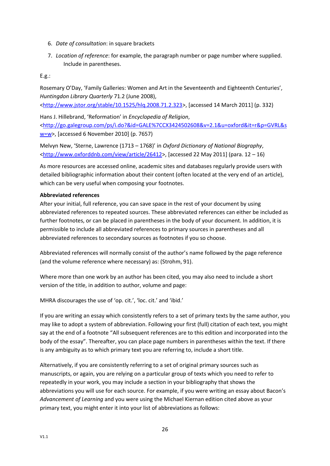- 6. *Date of consultation*: in square brackets
- 7. *Location of reference*: for example, the paragraph number or page number where supplied. Include in parentheses.

E.g.:

Rosemary O'Day, 'Family Galleries: Women and Art in the Seventeenth and Eighteenth Centuries', *Huntingdon Library Quarterly* 71.2 (June 2008),

[<http://www.jstor.org/stable/10.1525/hlq.2008.71.2.323>](http://www.jstor.org/stable/10.1525/hlq.2008.71.2.323), [accessed 14 March 2011] (p. 332)

Hans J. Hillebrand, 'Reformation' in *Encyclopedia of Religion*, [<http://go.galegroup.com/ps/i.do?&id=GALE%7CCX3424502608&v=2.1&u=oxford&it=r&p=GVRL&s](http://go.galegroup.com/ps/i.do?&id=GALE%7CCX3424502608&v=2.1&u=oxford&it=r&p=GVRL&sw=w) [w=w>](http://go.galegroup.com/ps/i.do?&id=GALE%7CCX3424502608&v=2.1&u=oxford&it=r&p=GVRL&sw=w), [accessed 6 November 2010] (p. 7657)

Melvyn New, 'Sterne, Lawrence (1713 – 1768)' in *Oxford Dictionary of National Biography*, [<http://www.oxforddnb.com/view/article/26412>](http://www.oxforddnb.com/view/article/26412), [accessed 22 May 2011] (para. 12 – 16)

As more resources are accessed online, academic sites and databases regularly provide users with detailed bibliographic information about their content (often located at the very end of an article), which can be very useful when composing your footnotes.

## **Abbreviated references**

After your initial, full reference, you can save space in the rest of your document by using abbreviated references to repeated sources. These abbreviated references can either be included as further footnotes, or can be placed in parentheses in the body of your document. In addition, it is permissible to include all abbreviated references to primary sources in parentheses and all abbreviated references to secondary sources as footnotes if you so choose.

Abbreviated references will normally consist of the author's name followed by the page reference (and the volume reference where necessary) as: (Strohm, 91).

Where more than one work by an author has been cited, you may also need to include a short version of the title, in addition to author, volume and page:

MHRA discourages the use of 'op. cit.', 'loc. cit.' and 'ibid.'

If you are writing an essay which consistently refers to a set of primary texts by the same author, you may like to adopt a system of abbreviation. Following your first (full) citation of each text, you might say at the end of a footnote "All subsequent references are to this edition and incorporated into the body of the essay". Thereafter, you can place page numbers in parentheses within the text. If there is any ambiguity as to which primary text you are referring to, include a short title.

Alternatively, if you are consistently referring to a set of original primary sources such as manuscripts, or again, you are relying on a particular group of texts which you need to refer to repeatedly in your work, you may include a section in your bibliography that shows the abbreviations you will use for each source. For example, if you were writing an essay about Bacon's *Advancement of Learning* and you were using the Michael Kiernan edition cited above as your primary text, you might enter it into your list of abbreviations as follows: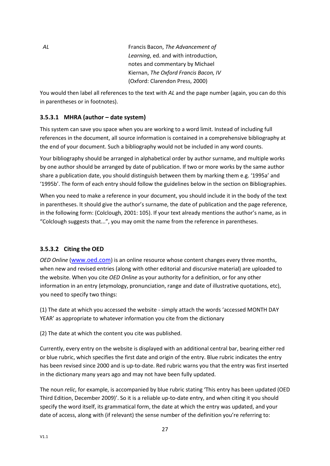*AL* Francis Bacon, *The Advancement of Learning*, ed. and with introduction, notes and commentary by Michael Kiernan, *The Oxford Francis Bacon, IV* (Oxford: Clarendon Press, 2000)

You would then label all references to the text with *AL* and the page number (again, you can do this in parentheses or in footnotes).

## **3.5.3.1 MHRA (author – date system)**

This system can save you space when you are working to a word limit. Instead of including full references in the document, all source information is contained in a comprehensive bibliography at the end of your document. Such a bibliography would not be included in any word counts.

Your bibliography should be arranged in alphabetical order by author surname, and multiple works by one author should be arranged by date of publication. If two or more works by the same author share a publication date, you should distinguish between them by marking them e.g. '1995a' and '1995b'. The form of each entry should follow the guidelines below in the section on Bibliographies.

When you need to make a reference in your document, you should include it in the body of the text in parentheses. It should give the author's surname, the date of publication and the page reference, in the following form: (Colclough, 2001: 105). If your text already mentions the author's name, as in "Colclough suggests that...", you may omit the name from the reference in parentheses.

## **3.5.3.2 Citing the OED**

*OED Online* ([www.oed.com](http://www.oed.com/)) is an online resource whose content changes every three months, when new and revised entries (along with other editorial and discursive material) are uploaded to the website. When you cite *OED Online* as your authority for a definition, or for any other information in an entry (etymology, pronunciation, range and date of illustrative quotations, etc), you need to specify two things:

(1) The date at which you accessed the website - simply attach the words 'accessed MONTH DAY YEAR' as appropriate to whatever information you cite from the dictionary

(2) The date at which the content you cite was published.

Currently, every entry on the website is displayed with an additional central bar, bearing either red or blue rubric, which specifies the first date and origin of the entry. Blue rubric indicates the entry has been revised since 2000 and is up-to-date. Red rubric warns you that the entry was first inserted in the dictionary many years ago and may not have been fully updated.

The noun *relic*, for example, is accompanied by blue rubric stating 'This entry has been updated (OED Third Edition, December 2009)'. So it is a reliable up-to-date entry, and when citing it you should specify the word itself, its grammatical form, the date at which the entry was updated, and your date of access, along with (if relevant) the sense number of the definition you're referring to: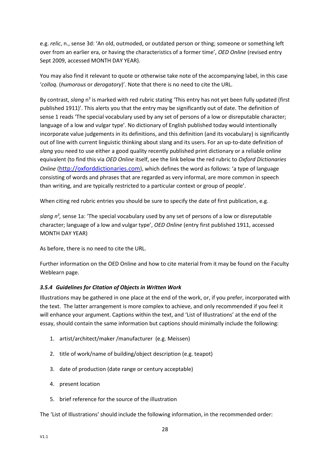e.g. *relic*, n., sense 3d: 'An old, outmoded, or outdated person or thing; someone or something left over from an earlier era, or having the characteristics of a former time', *OED Online* (revised entry Sept 2009, accessed MONTH DAY YEAR).

You may also find it relevant to quote or otherwise take note of the accompanying label, in this case '*colloq.* (*humorous* or *derogatory*)'. Note that there is no need to cite the URL.

By contrast, slang n<sup>3</sup> is marked with red rubric stating 'This entry has not yet been fully updated (first published 1911)'. This alerts you that the entry may be significantly out of date. The definition of sense 1 reads 'The special vocabulary used by any set of persons of a low or disreputable character; language of a low and vulgar type'. No dictionary of English published today would intentionally incorporate value judgements in its definitions, and this definition (and its vocabulary) is significantly out of line with current linguistic thinking about slang and its users. For an up-to-date definition of *slang* you need to use either a good quality recently published print dictionary or a reliable online equivalent (to find this via *OED Online* itself, see the link below the red rubric to *Oxford Dictionaries Online* ([http://oxforddictionaries.com](http://oxforddictionaries.com/)), which defines the word as follows: 'a type of language consisting of words and phrases that are regarded as very informal, are more common in speech than writing, and are typically restricted to a particular context or group of people'.

When citing red rubric entries you should be sure to specify the date of first publication, e.g.

slang n<sup>3</sup>, sense 1a: 'The special vocabulary used by any set of persons of a low or disreputable character; language of a low and vulgar type', *OED Online* (entry first published 1911, accessed MONTH DAY YEAR)

As before, there is no need to cite the URL.

Further information on the OED Online and how to cite material from it may be found on the Faculty Weblearn page.

#### <span id="page-28-0"></span>*3.5.4 Guidelines for Citation of Objects in Written Work*

Illustrations may be gathered in one place at the end of the work, or, if you prefer, incorporated with the text. The latter arrangement is more complex to achieve, and only recommended if you feel it will enhance your argument. Captions within the text, and 'List of Illustrations' at the end of the essay, should contain the same information but captions should minimally include the following:

- 1. artist/architect/maker /manufacturer (e.g. Meissen)
- 2. title of work/name of building/object description (e.g. teapot)
- 3. date of production (date range or century acceptable)
- 4. present location
- 5. brief reference for the source of the illustration

The 'List of Illustrations' should include the following information, in the recommended order: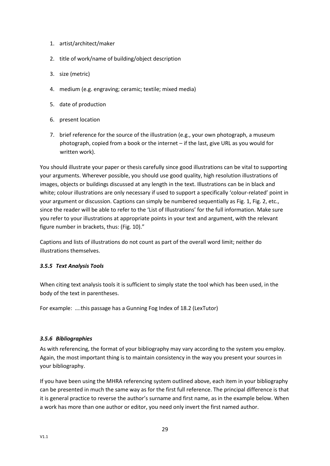- 1. artist/architect/maker
- 2. title of work/name of building/object description
- 3. size (metric)
- 4. medium (e.g. engraving; ceramic; textile; mixed media)
- 5. date of production
- 6. present location
- 7. brief reference for the source of the illustration (e.g., your own photograph, a museum photograph, copied from a book or the internet – if the last, give URL as you would for written work).

You should illustrate your paper or thesis carefully since good illustrations can be vital to supporting your arguments. Wherever possible, you should use good quality, high resolution illustrations of images, objects or buildings discussed at any length in the text. Illustrations can be in black and white; colour illustrations are only necessary if used to support a specifically 'colour-related' point in your argument or discussion. Captions can simply be numbered sequentially as Fig. 1, Fig. 2, etc., since the reader will be able to refer to the 'List of Illustrations' for the full information. Make sure you refer to your illustrations at appropriate points in your text and argument, with the relevant figure number in brackets, thus: (Fig. 10)."

Captions and lists of illustrations do not count as part of the overall word limit; neither do illustrations themselves.

## <span id="page-29-0"></span>*3.5.5 Text Analysis Tools*

When citing text analysis tools it is sufficient to simply state the tool which has been used, in the body of the text in parentheses.

For example: ….this passage has a Gunning Fog Index of 18.2 (LexTutor)

## <span id="page-29-1"></span>*3.5.6 Bibliographies*

As with referencing, the format of your bibliography may vary according to the system you employ. Again, the most important thing is to maintain consistency in the way you present your sources in your bibliography.

If you have been using the MHRA referencing system outlined above, each item in your bibliography can be presented in much the same way as for the first full reference. The principal difference is that it is general practice to reverse the author's surname and first name, as in the example below. When a work has more than one author or editor, you need only invert the first named author.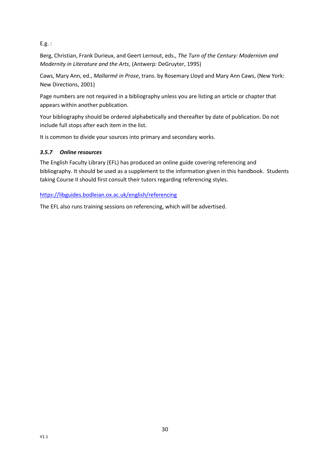E.g. :

Berg, Christian, Frank Durieux, and Geert Lernout, eds., *The Turn of the Century: Modernism and Modernity in Literature and the Arts*, (Antwerp: DeGruyter, 1995)

Caws, Mary Ann, ed., *Mallarmé in Prose*, trans. by Rosemary Lloyd and Mary Ann Caws, (New York: New Directions, 2001)

Page numbers are not required in a bibliography unless you are listing an article or chapter that appears within another publication.

Your bibliography should be ordered alphabetically and thereafter by date of publication. Do not include full stops after each item in the list.

It is common to divide your sources into primary and secondary works.

## <span id="page-30-0"></span>*3.5.7 Online resources*

The English Faculty Library (EFL) has produced an online guide covering referencing and bibliography. It should be used as a supplement to the information given in this handbook. Students taking Course II should first consult their tutors regarding referencing styles.

<https://libguides.bodleian.ox.ac.uk/english/referencing>

The EFL also runs training sessions on referencing, which will be advertised.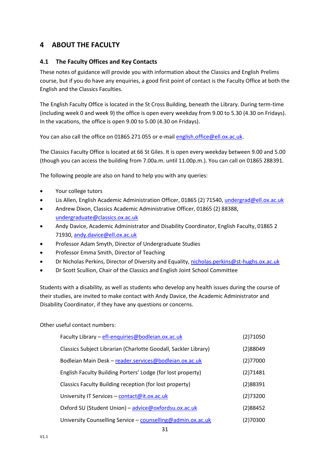# <span id="page-31-0"></span>**4 ABOUT THE FACULTY**

## <span id="page-31-1"></span>**4.1 The Faculty Offices and Key Contacts**

These notes of guidance will provide you with information about the Classics and English Prelims course, but if you do have any enquiries, a good first point of contact is the Faculty Office at both the English and the Classics Faculties.

The English Faculty Office is located in the St Cross Building, beneath the Library. During term-time (including week 0 and week 9) the office is open every weekday from 9.00 to 5.30 (4.30 on Fridays). In the vacations, the office is open 9.00 to 5.00 (4.30 on Fridays).

You can also call the office on 01865 271 055 or e-mail [english.office@ell.ox.ac.uk.](mailto:english.office@ell.ox.ac.uk)

The Classics Faculty Office is located at 66 St Giles. It is open every weekday between 9.00 and 5.00 (though you can access the building from 7.00a.m. until 11.00p.m.). You can call on 01865 288391.

The following people are also on hand to help you with any queries:

- Your college tutors
- Lis Allen, English Academic Administration Officer, 01865 (2) 71540, [undergrad@ell.ox.ac.uk](mailto:undergrad@ell.ox.ac.uk)
- Andrew Dixon, Classics Academic Administrative Officer, 01865 (2) 88388, [undergraduate@classics.ox.ac.uk](mailto:undergraduate@classics.ox.ac.uk)
- Andy Davice, Academic Administrator and Disability Coordinator, English Faculty, 01865 2 71930[, andy.davice@ell.ox.ac.uk](mailto:andy.davice@ell.ox.ac.uk)
- Professor Adam Smyth, Director of Undergraduate Studies
- Professor Emma Smith, Director of Teaching
- Dr Nicholas Perkins, Director of Diversity and Equality, [nicholas.perkins@st-hughs.ox.ac.uk](mailto:nicholas.perkins@st-hughs.ox.ac.uk?subject=Diversity%20&%20Equality)
- Dr Scott Scullion, Chair of the Classics and English Joint School Committee

Students with a disability, as well as students who develop any health issues during the course of their studies, are invited to make contact with Andy Davice, the Academic Administrator and Disability Coordinator, if they have any questions or concerns.

Other useful contact numbers:

| Faculty Library - efl-enquiries@bodleian.ox.ac.uk               | (2)71050 |
|-----------------------------------------------------------------|----------|
| Classics Subject Librarian (Charlotte Goodall, Sackler Library) | (2)88049 |
| Bodleian Main Desk - reader.services@bodleian.ox.ac.uk          | (2)77000 |
| English Faculty Building Porters' Lodge (for lost property)     | (2)71481 |
| Classics Faculty Building reception (for lost property)         | (2)88391 |
| University IT Services - contact@it.ox.ac.uk                    | (2)73200 |
| Oxford SU (Student Union) - advice@oxfordsu.ox.ac.uk            | (2)88452 |
| University Counselling Service - counselling@admin.ox.ac.uk     | (2)70300 |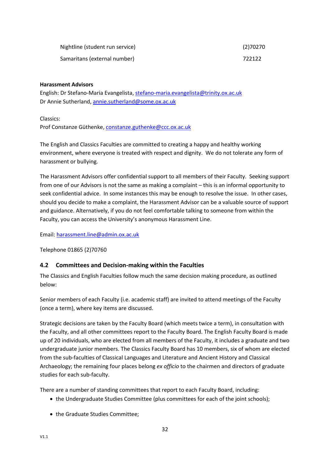| Nightline (student run service) | (2)70270 |
|---------------------------------|----------|
| Samaritans (external number)    | 722122   |

#### **Harassment Advisors**

English: Dr Stefano-Maria Evangelista, [stefano-maria.evangelista@trinity.ox.ac.uk](mailto:stefano-maria.evangelista@trinity.ox.ac.uk) Dr Annie Sutherland[, annie.sutherland@some.ox.ac.uk](mailto:annie.sutherland@some.ox.ac.uk?subject=Harassment)

Classics:

Prof Constanze Güthenke, [constanze.guthenke@ccc.ox.ac.uk](mailto:constanze.guthenke@ccc.ox.ac.uk?subject=Harassment)

The English and Classics Faculties are committed to creating a happy and healthy working environment, where everyone is treated with respect and dignity. We do not tolerate any form of harassment or bullying.

The Harassment Advisors offer confidential support to all members of their Faculty. Seeking support from one of our Advisors is not the same as making a complaint – this is an informal opportunity to seek confidential advice. In some instances this may be enough to resolve the issue. In other cases, should you decide to make a complaint, the Harassment Advisor can be a valuable source of support and guidance. Alternatively, if you do not feel comfortable talking to someone from within the Faculty, you can access the University's anonymous Harassment Line.

Email: [harassment.line@admin.ox.ac.uk](mailto:harassment.line@admin.ox.ac.uk)

Telephone 01865 (2)70760

## <span id="page-32-0"></span>**4.2 Committees and Decision-making within the Faculties**

The Classics and English Faculties follow much the same decision making procedure, as outlined below:

Senior members of each Faculty (i.e. academic staff) are invited to attend meetings of the Faculty (once a term), where key items are discussed.

Strategic decisions are taken by the Faculty Board (which meets twice a term), in consultation with the Faculty, and all other committees report to the Faculty Board. The English Faculty Board is made up of 20 individuals, who are elected from all members of the Faculty, it includes a graduate and two undergraduate junior members. The Classics Faculty Board has 10 members, six of whom are elected from the sub-faculties of Classical Languages and Literature and Ancient History and Classical Archaeology; the remaining four places belong *ex officio* to the chairmen and directors of graduate studies for each sub-faculty.

There are a number of standing committees that report to each Faculty Board, including:

- the Undergraduate Studies Committee (plus committees for each of the joint schools);
- the Graduate Studies Committee;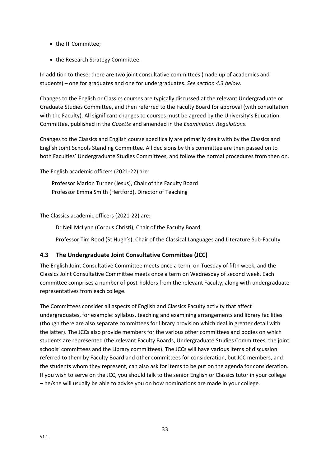- the IT Committee;
- the Research Strategy Committee.

In addition to these, there are two joint consultative committees (made up of academics and students) – one for graduates and one for undergraduates. *See section 4.3 below.*

Changes to the English or Classics courses are typically discussed at the relevant Undergraduate or Graduate Studies Committee, and then referred to the Faculty Board for approval (with consultation with the Faculty). All significant changes to courses must be agreed by the University's Education Committee, published in the *Gazette* and amended in the *Examination Regulations*.

Changes to the Classics and English course specifically are primarily dealt with by the Classics and English Joint Schools Standing Committee. All decisions by this committee are then passed on to both Faculties' Undergraduate Studies Committees, and follow the normal procedures from then on.

The English academic officers (2021-22) are:

Professor Marion Turner (Jesus), Chair of the Faculty Board Professor Emma Smith (Hertford), Director of Teaching

The Classics academic officers (2021-22) are:

Dr Neil McLynn (Corpus Christi), Chair of the Faculty Board

Professor Tim Rood (St Hugh's), Chair of the Classical Languages and Literature Sub-Faculty

## <span id="page-33-0"></span>**4.3 The Undergraduate Joint Consultative Committee (JCC)**

The English Joint Consultative Committee meets once a term, on Tuesday of fifth week, and the Classics Joint Consultative Committee meets once a term on Wednesday of second week. Each committee comprises a number of post-holders from the relevant Faculty, along with undergraduate representatives from each college.

The Committees consider all aspects of English and Classics Faculty activity that affect undergraduates, for example: syllabus, teaching and examining arrangements and library facilities (though there are also separate committees for library provision which deal in greater detail with the latter). The JCCs also provide members for the various other committees and bodies on which students are represented (the relevant Faculty Boards, Undergraduate Studies Committees, the joint schools' committees and the Library committees). The JCCs will have various items of discussion referred to them by Faculty Board and other committees for consideration, but JCC members, and the students whom they represent, can also ask for items to be put on the agenda for consideration. If you wish to serve on the JCC, you should talk to the senior English or Classics tutor in your college – he/she will usually be able to advise you on how nominations are made in your college.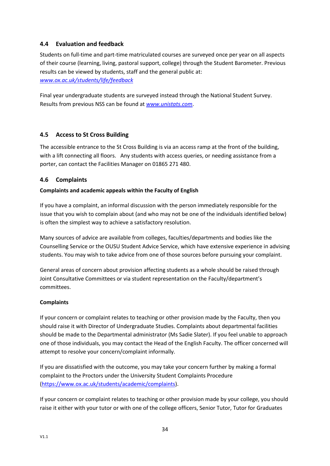## <span id="page-34-0"></span>**4.4 Evaluation and feedback**

Students on full-time and part-time matriculated courses are surveyed once per year on all aspects of their course (learning, living, pastoral support, college) through the Student Barometer. Previous results can be viewed by students, staff and the general public at: *[www.ox.ac.uk/students/life/feedback](http://www.ox.ac.uk/students/life/feedback)*

Final year undergraduate students are surveyed instead through the National Student Survey. Results from previous NSS can be found at *[www.unistats.com](http://www.unistats.com/)*.

## <span id="page-34-1"></span>**4.5 Access to St Cross Building**

The accessible entrance to the St Cross Building is via an access ramp at the front of the building, with a lift connecting all floors. Any students with access queries, or needing assistance from a porter, can contact the Facilities Manager on 01865 271 480.

## <span id="page-34-2"></span>**4.6 Complaints**

## **Complaints and academic appeals within the Faculty of English**

If you have a complaint, an informal discussion with the person immediately responsible for the issue that you wish to complain about (and who may not be one of the individuals identified below) is often the simplest way to achieve a satisfactory resolution.

Many sources of advice are available from colleges, faculties/departments and bodies like the Counselling Service or the OUSU Student Advice Service, which have extensive experience in advising students. You may wish to take advice from one of those sources before pursuing your complaint.

General areas of concern about provision affecting students as a whole should be raised through Joint Consultative Committees or via student representation on the Faculty/department's committees.

## **Complaints**

If your concern or complaint relates to teaching or other provision made by the Faculty, then you should raise it with Director of Undergraduate Studies. Complaints about departmental facilities should be made to the Departmental administrator (Ms Sadie Slater). If you feel unable to approach one of those individuals, you may contact the Head of the English Faculty. The officer concerned will attempt to resolve your concern/complaint informally.

If you are dissatisfied with the outcome, you may take your concern further by making a formal complaint to the Proctors under the University Student Complaints Procedure [\(https://www.ox.ac.uk/students/academic/complaints\)](https://www.ox.ac.uk/students/academic/complaints).

If your concern or complaint relates to teaching or other provision made by your college, you should raise it either with your tutor or with one of the college officers, Senior Tutor, Tutor for Graduates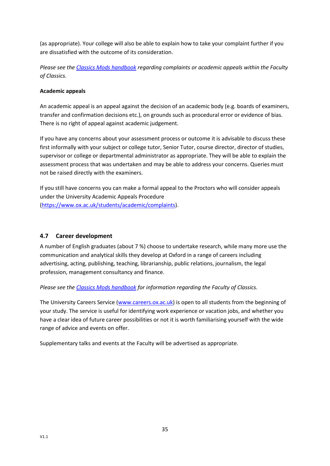(as appropriate). Your college will also be able to explain how to take your complaint further if you are dissatisfied with the outcome of its consideration.

*Please see the Classics Mods [handbook](https://www.classics.ox.ac.uk/handbooks) regarding complaints or academic appeals within the Faculty of Classics.*

## **Academic appeals**

An academic appeal is an appeal against the decision of an academic body (e.g. boards of examiners, transfer and confirmation decisions etc.), on grounds such as procedural error or evidence of bias. There is no right of appeal against academic judgement.

If you have any concerns about your assessment process or outcome it is advisable to discuss these first informally with your subject or college tutor, Senior Tutor, course director, director of studies, supervisor or college or departmental administrator as appropriate. They will be able to explain the assessment process that was undertaken and may be able to address your concerns. Queries must not be raised directly with the examiners.

If you still have concerns you can make a formal appeal to the Proctors who will consider appeals under the University Academic Appeals Procedure [\(https://www.ox.ac.uk/students/academic/complaints\)](https://www.ox.ac.uk/students/academic/complaints).

## <span id="page-35-0"></span>**4.7 Career development**

A number of English graduates (about 7 %) choose to undertake research, while many more use the communication and analytical skills they develop at Oxford in a range of careers including advertising, acting, publishing, teaching, librarianship, public relations, journalism, the legal profession, management consultancy and finance.

*Please see the Classics Mods [handbook](https://www.classics.ox.ac.uk/handbooks) for information regarding the Faculty of Classics.*

The University Careers Service [\(www.careers.ox.ac.uk\)](http://www.careers.ox.ac.uk/) is open to all students from the beginning of your study. The service is useful for identifying work experience or vacation jobs, and whether you have a clear idea of future career possibilities or not it is worth familiarising yourself with the wide range of advice and events on offer.

Supplementary talks and events at the Faculty will be advertised as appropriate.

V1.1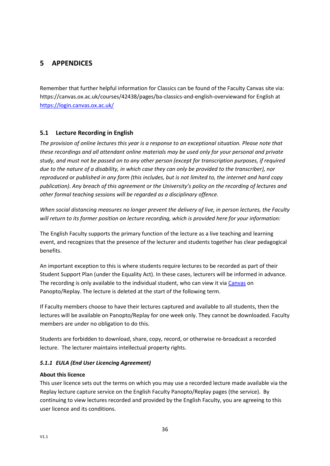# <span id="page-36-0"></span>**5 APPENDICES**

Remember that further helpful information for Classics can be found of the Faculty Canvas site via: https://canvas.ox.ac.uk/courses/42438/pages/ba-classics-and-english-overviewand for English at <https://login.canvas.ox.ac.uk/>

## <span id="page-36-1"></span>**5.1 Lecture Recording in English**

*The provision of online lectures this year is a response to an exceptional situation. Please note that these recordings and all attendant online materials may be used only for your personal and private study, and must not be passed on to any other person (except for transcription purposes, if required due to the nature of a disability, in which case they can only be provided to the transcriber), nor reproduced or published in any form (this includes, but is not limited to, the internet and hard copy publication). Any breach of this agreement or the University's policy on the recording of lectures and other formal teaching sessions will be regarded as a disciplinary offence.* 

*When social distancing measures no longer prevent the delivery of live, in person lectures, the Faculty will return to its former position on lecture recording, which is provided here for your information:*

The English Faculty supports the primary function of the lecture as a live teaching and learning event, and recognizes that the presence of the lecturer and students together has clear pedagogical benefits.

An important exception to this is where students require lectures to be recorded as part of their Student Support Plan (under the Equality Act). In these cases, lecturers will be informed in advance. The recording is only available to the individual student, who can view it via [Canvas](https://login.canvas.ox.ac.uk/) on Panopto/Replay. The lecture is deleted at the start of the following term.

If Faculty members choose to have their lectures captured and available to all students, then the lectures will be available on Panopto/Replay for one week only. They cannot be downloaded. Faculty members are under no obligation to do this.

Students are forbidden to download, share, copy, record, or otherwise re-broadcast a recorded lecture. The lecturer maintains intellectual property rights.

## <span id="page-36-2"></span>*5.1.1 EULA (End User Licencing Agreement)*

#### **About this licence**

This user licence sets out the terms on which you may use a recorded lecture made available via the Replay lecture capture service on the English Faculty Panopto/Replay pages (the service). By continuing to view lectures recorded and provided by the English Faculty, you are agreeing to this user licence and its conditions.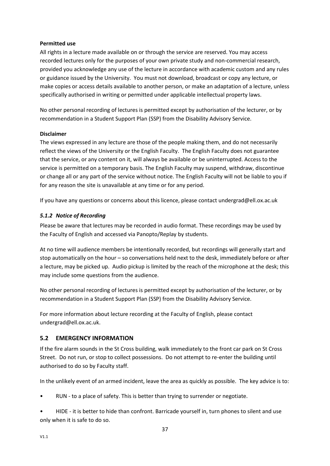### **Permitted use**

All rights in a lecture made available on or through the service are reserved. You may access recorded lectures only for the purposes of your own private study and non-commercial research, provided you acknowledge any use of the lecture in accordance with academic custom and any rules or guidance issued by the University. You must not download, broadcast or copy any lecture, or make copies or access details available to another person, or make an adaptation of a lecture, unless specifically authorised in writing or permitted under applicable intellectual property laws.

No other personal recording of lectures is permitted except by authorisation of the lecturer, or by recommendation in a Student Support Plan (SSP) from the Disability Advisory Service.

### **Disclaimer**

The views expressed in any lecture are those of the people making them, and do not necessarily reflect the views of the University or the English Faculty. The English Faculty does not guarantee that the service, or any content on it, will always be available or be uninterrupted. Access to the service is permitted on a temporary basis. The English Faculty may suspend, withdraw, discontinue or change all or any part of the service without notice. The English Faculty will not be liable to you if for any reason the site is unavailable at any time or for any period.

If you have any questions or concerns about this licence, please contact undergrad@ell.ox.ac.uk

## <span id="page-37-0"></span>*5.1.2 Notice of Recording*

Please be aware that lectures may be recorded in audio format. These recordings may be used by the Faculty of English and accessed via Panopto/Replay by students.

At no time will audience members be intentionally recorded, but recordings will generally start and stop automatically on the hour – so conversations held next to the desk, immediately before or after a lecture, may be picked up. Audio pickup is limited by the reach of the microphone at the desk; this may include some questions from the audience.

No other personal recording of lectures is permitted except by authorisation of the lecturer, or by recommendation in a Student Support Plan (SSP) from the Disability Advisory Service.

For more information about lecture recording at the Faculty of English, please contact undergrad@ell.ox.ac.uk.

## <span id="page-37-1"></span>**5.2 EMERGENCY INFORMATION**

If the fire alarm sounds in the St Cross building, walk immediately to the front car park on St Cross Street. Do not run, or stop to collect possessions. Do not attempt to re-enter the building until authorised to do so by Faculty staff.

In the unlikely event of an armed incident, leave the area as quickly as possible. The key advice is to:

RUN - to a place of safety. This is better than trying to surrender or negotiate.

• HIDE - it is better to hide than confront. Barricade yourself in, turn phones to silent and use only when it is safe to do so.